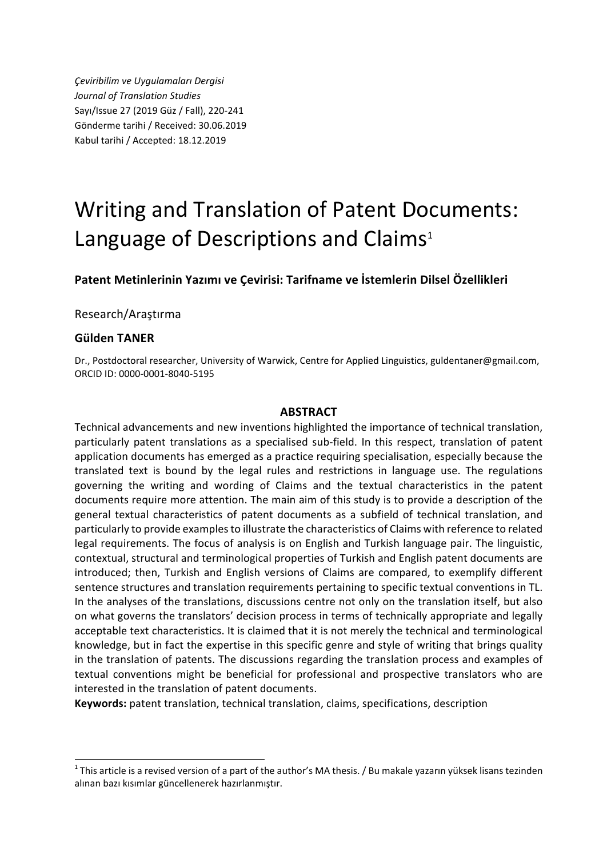*Çeviribilim ve Uygulamaları Dergisi Journal of Translation Studies* Sayı/Issue 27 (2019 Güz / Fall), 220-241 Gönderme tarihi / Received: 30.06.2019 Kabul tarihi / Accepted: 18.12.2019

# Writing and Translation of Patent Documents: Language of Descriptions and Claims<sup>1</sup>

Patent Metinlerinin Yazımı ve Çevirisi: Tarifname ve İstemlerin Dilsel Özellikleri

Research/Araştırma

#### **Gülden TANER**

Dr., Postdoctoral researcher, University of Warwick, Centre for Applied Linguistics, guldentaner@gmail.com, ORCID ID: 0000-0001-8040-5195

#### **ABSTRACT**

Technical advancements and new inventions highlighted the importance of technical translation, particularly patent translations as a specialised sub-field. In this respect, translation of patent application documents has emerged as a practice requiring specialisation, especially because the translated text is bound by the legal rules and restrictions in language use. The regulations governing the writing and wording of Claims and the textual characteristics in the patent documents require more attention. The main aim of this study is to provide a description of the general textual characteristics of patent documents as a subfield of technical translation, and particularly to provide examples to illustrate the characteristics of Claims with reference to related legal requirements. The focus of analysis is on English and Turkish language pair. The linguistic, contextual, structural and terminological properties of Turkish and English patent documents are introduced; then, Turkish and English versions of Claims are compared, to exemplify different sentence structures and translation requirements pertaining to specific textual conventions in TL. In the analyses of the translations, discussions centre not only on the translation itself, but also on what governs the translators' decision process in terms of technically appropriate and legally acceptable text characteristics. It is claimed that it is not merely the technical and terminological knowledge, but in fact the expertise in this specific genre and style of writing that brings quality in the translation of patents. The discussions regarding the translation process and examples of textual conventions might be beneficial for professional and prospective translators who are interested in the translation of patent documents.

**Keywords:** patent translation, technical translation, claims, specifications, description

<sup>|&</sup>lt;br>1  $1$ This article is a revised version of a part of the author's MA thesis. / Bu makale yazarın yüksek lisans tezinden alınan bazı kısımlar güncellenerek hazırlanmıştır.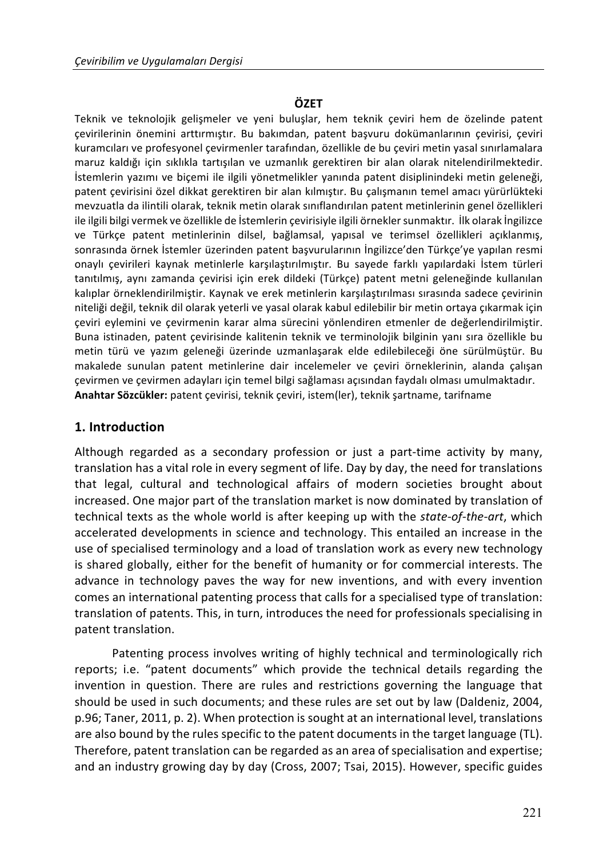## **ÖZET**

Teknik ve teknolojik gelişmeler ve yeni buluşlar, hem teknik çeviri hem de özelinde patent çevirilerinin önemini arttırmıştır. Bu bakımdan, patent başvuru dokümanlarının çevirisi, çeviri kuramcıları ve profesyonel çevirmenler tarafından, özellikle de bu çeviri metin yasal sınırlamalara maruz kaldığı için sıklıkla tartışılan ve uzmanlık gerektiren bir alan olarak nitelendirilmektedir. İstemlerin yazımı ve biçemi ile ilgili yönetmelikler yanında patent disiplinindeki metin geleneği, patent çevirisini özel dikkat gerektiren bir alan kılmıştır. Bu çalışmanın temel amacı yürürlükteki mevzuatla da ilintili olarak, teknik metin olarak sınıflandırılan patent metinlerinin genel özellikleri ile ilgili bilgi vermek ve özellikle de İstemlerin çevirisiyle ilgili örnekler sunmaktır. İlk olarak İngilizce ve Türkçe patent metinlerinin dilsel, bağlamsal, yapısal ve terimsel özellikleri açıklanmış, sonrasında örnek İstemler üzerinden patent başvurularının İngilizce'den Türkçe'ye yapılan resmi onaylı çevirileri kaynak metinlerle karşılaştırılmıştır. Bu sayede farklı yapılardaki İstem türleri tanıtılmış, aynı zamanda çevirisi için erek dildeki (Türkçe) patent metni geleneğinde kullanılan kalıplar örneklendirilmiştir. Kaynak ve erek metinlerin karşılaştırılması sırasında sadece çevirinin niteliği değil, teknik dil olarak yeterli ve yasal olarak kabul edilebilir bir metin ortaya çıkarmak için çeviri eylemini ve çevirmenin karar alma sürecini yönlendiren etmenler de değerlendirilmiştir. Buna istinaden, patent cevirisinde kalitenin teknik ve terminolojik bilginin yanı sıra özellikle bu metin türü ve yazım geleneği üzerinde uzmanlaşarak elde edilebileceği öne sürülmüştür. Bu makalede sunulan patent metinlerine dair incelemeler ve çeviri örneklerinin, alanda çalışan çevirmen ve çevirmen adayları için temel bilgi sağlaması açısından faydalı olması umulmaktadır. Anahtar Sözcükler: patent çevirisi, teknik çeviri, istem(ler), teknik şartname, tarifname

## **1. Introduction**

Although regarded as a secondary profession or just a part-time activity by many, translation has a vital role in every segment of life. Day by day, the need for translations that legal, cultural and technological affairs of modern societies brought about increased. One major part of the translation market is now dominated by translation of technical texts as the whole world is after keeping up with the state-of-the-art, which accelerated developments in science and technology. This entailed an increase in the use of specialised terminology and a load of translation work as every new technology is shared globally, either for the benefit of humanity or for commercial interests. The advance in technology paves the way for new inventions, and with every invention comes an international patenting process that calls for a specialised type of translation: translation of patents. This, in turn, introduces the need for professionals specialising in patent translation.

Patenting process involves writing of highly technical and terminologically rich reports; i.e. "patent documents" which provide the technical details regarding the invention in question. There are rules and restrictions governing the language that should be used in such documents; and these rules are set out by law (Daldeniz, 2004, p.96; Taner, 2011, p. 2). When protection is sought at an international level, translations are also bound by the rules specific to the patent documents in the target language  $(TL)$ . Therefore, patent translation can be regarded as an area of specialisation and expertise; and an industry growing day by day (Cross, 2007; Tsai, 2015). However, specific guides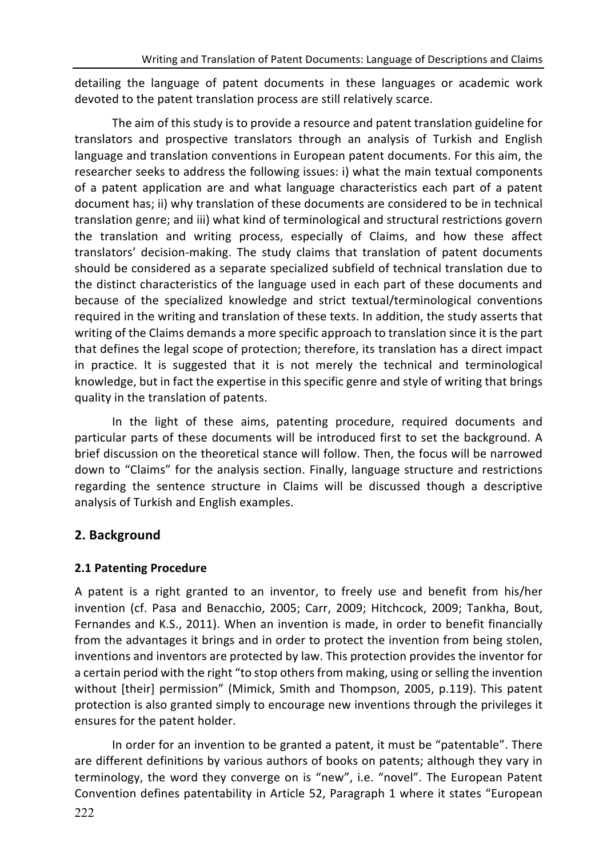detailing the language of patent documents in these languages or academic work devoted to the patent translation process are still relatively scarce.

The aim of this study is to provide a resource and patent translation guideline for translators and prospective translators through an analysis of Turkish and English language and translation conventions in European patent documents. For this aim, the researcher seeks to address the following issues: i) what the main textual components of a patent application are and what language characteristics each part of a patent document has; ii) why translation of these documents are considered to be in technical translation genre; and iii) what kind of terminological and structural restrictions govern the translation and writing process, especially of Claims, and how these affect translators' decision-making. The study claims that translation of patent documents should be considered as a separate specialized subfield of technical translation due to the distinct characteristics of the language used in each part of these documents and because of the specialized knowledge and strict textual/terminological conventions required in the writing and translation of these texts. In addition, the study asserts that writing of the Claims demands a more specific approach to translation since it is the part that defines the legal scope of protection; therefore, its translation has a direct impact in practice. It is suggested that it is not merely the technical and terminological knowledge, but in fact the expertise in this specific genre and style of writing that brings quality in the translation of patents.

In the light of these aims, patenting procedure, required documents and particular parts of these documents will be introduced first to set the background. A brief discussion on the theoretical stance will follow. Then, the focus will be narrowed down to "Claims" for the analysis section. Finally, language structure and restrictions regarding the sentence structure in Claims will be discussed though a descriptive analysis of Turkish and English examples.

# **2. Background**

# **2.1 Patenting Procedure**

A patent is a right granted to an inventor, to freely use and benefit from his/her invention (cf. Pasa and Benacchio, 2005; Carr, 2009; Hitchcock, 2009; Tankha, Bout, Fernandes and K.S., 2011). When an invention is made, in order to benefit financially from the advantages it brings and in order to protect the invention from being stolen, inventions and inventors are protected by law. This protection provides the inventor for a certain period with the right "to stop others from making, using or selling the invention without [their] permission" (Mimick, Smith and Thompson, 2005, p.119). This patent protection is also granted simply to encourage new inventions through the privileges it ensures for the patent holder.

In order for an invention to be granted a patent, it must be "patentable". There are different definitions by various authors of books on patents; although they vary in terminology, the word they converge on is "new", i.e. "novel". The European Patent Convention defines patentability in Article 52, Paragraph 1 where it states "European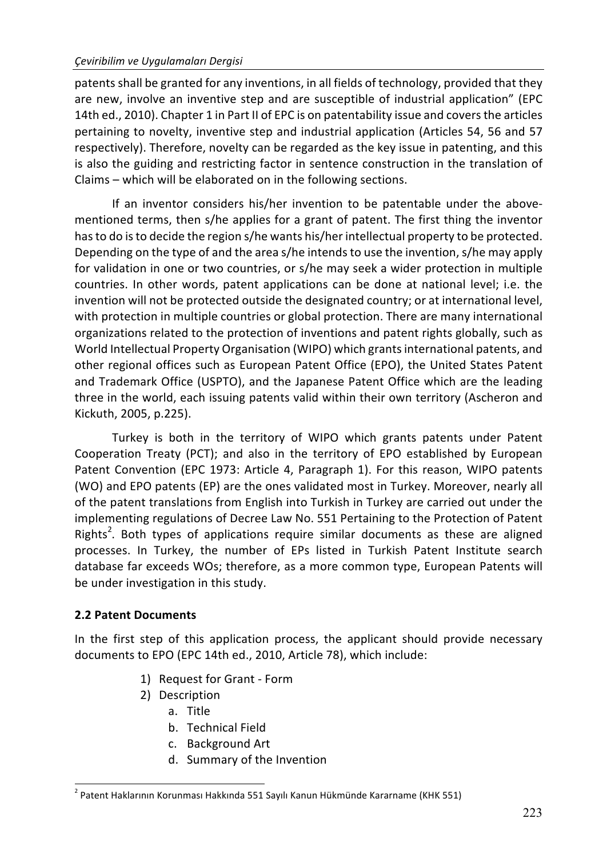#### *Çeviribilim ve Uygulamaları Dergisi*

patents shall be granted for any inventions, in all fields of technology, provided that they are new, involve an inventive step and are susceptible of industrial application" (EPC 14th ed., 2010). Chapter 1 in Part II of EPC is on patentability issue and covers the articles pertaining to novelty, inventive step and industrial application (Articles 54, 56 and 57 respectively). Therefore, novelty can be regarded as the key issue in patenting, and this is also the guiding and restricting factor in sentence construction in the translation of Claims – which will be elaborated on in the following sections.

If an inventor considers his/her invention to be patentable under the abovementioned terms, then s/he applies for a grant of patent. The first thing the inventor has to do is to decide the region s/he wants his/her intellectual property to be protected. Depending on the type of and the area s/he intends to use the invention, s/he may apply for validation in one or two countries, or s/he may seek a wider protection in multiple countries. In other words, patent applications can be done at national level; i.e. the invention will not be protected outside the designated country; or at international level, with protection in multiple countries or global protection. There are many international organizations related to the protection of inventions and patent rights globally, such as World Intellectual Property Organisation (WIPO) which grants international patents, and other regional offices such as European Patent Office (EPO), the United States Patent and Trademark Office (USPTO), and the Japanese Patent Office which are the leading three in the world, each issuing patents valid within their own territory (Ascheron and Kickuth, 2005, p.225).

Turkey is both in the territory of WIPO which grants patents under Patent Cooperation Treaty (PCT); and also in the territory of EPO established by European Patent Convention (EPC 1973: Article 4, Paragraph 1). For this reason, WIPO patents (WO) and EPO patents (EP) are the ones validated most in Turkey. Moreover, nearly all of the patent translations from English into Turkish in Turkey are carried out under the implementing regulations of Decree Law No. 551 Pertaining to the Protection of Patent Rights<sup>2</sup>. Both types of applications require similar documents as these are aligned processes. In Turkey, the number of EPs listed in Turkish Patent Institute search database far exceeds WOs; therefore, as a more common type, European Patents will be under investigation in this study.

## **2.2 Patent Documents**

In the first step of this application process, the applicant should provide necessary documents to EPO (EPC 14th ed., 2010, Article 78), which include:

- 1) Request for Grant Form
- 2) Description
	- a. Title
	- b. Technical Field
	- c. Background Art
	- d. Summary of the Invention

 $2$  Patent Haklarının Korunması Hakkında 551 Sayılı Kanun Hükmünde Kararname (KHK 551)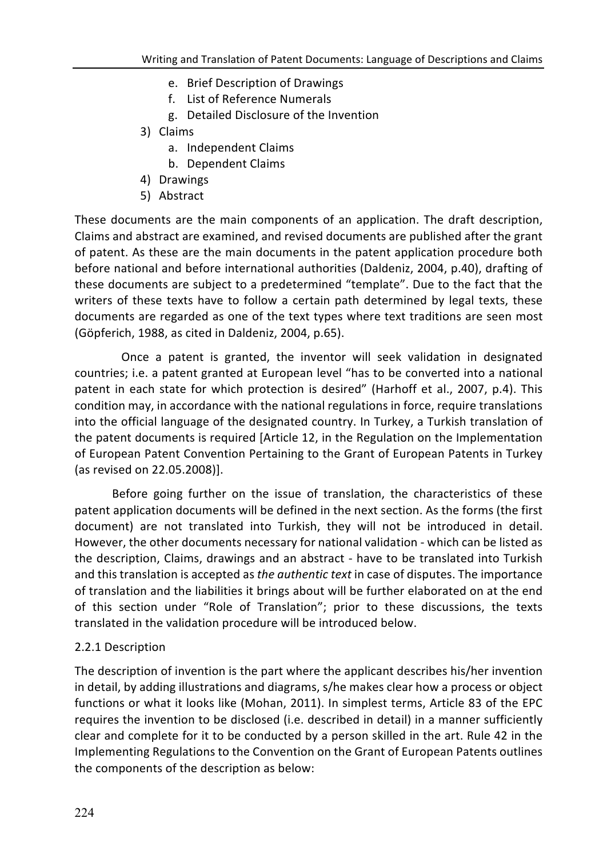- e. Brief Description of Drawings
- f. List of Reference Numerals
- g. Detailed Disclosure of the Invention
- 3) Claims
	- a. Independent Claims
	- b. Dependent Claims
- 4) Drawings
- 5) Abstract

These documents are the main components of an application. The draft description, Claims and abstract are examined, and revised documents are published after the grant of patent. As these are the main documents in the patent application procedure both before national and before international authorities (Daldeniz, 2004, p.40), drafting of these documents are subject to a predetermined "template". Due to the fact that the writers of these texts have to follow a certain path determined by legal texts, these documents are regarded as one of the text types where text traditions are seen most (Göpferich, 1988, as cited in Daldeniz, 2004, p.65).

Once a patent is granted, the inventor will seek validation in designated countries; i.e. a patent granted at European level "has to be converted into a national patent in each state for which protection is desired" (Harhoff et al., 2007, p.4). This condition may, in accordance with the national regulations in force, require translations into the official language of the designated country. In Turkey, a Turkish translation of the patent documents is required [Article 12, in the Regulation on the Implementation of European Patent Convention Pertaining to the Grant of European Patents in Turkey (as revised on 22.05.2008)].

Before going further on the issue of translation, the characteristics of these patent application documents will be defined in the next section. As the forms (the first document) are not translated into Turkish, they will not be introduced in detail. However, the other documents necessary for national validation - which can be listed as the description, Claims, drawings and an abstract - have to be translated into Turkish and this translation is accepted as *the quthentic text* in case of disputes. The importance of translation and the liabilities it brings about will be further elaborated on at the end of this section under "Role of Translation"; prior to these discussions, the texts translated in the validation procedure will be introduced below.

## 2.2.1 Description

The description of invention is the part where the applicant describes his/her invention in detail, by adding illustrations and diagrams, s/he makes clear how a process or object functions or what it looks like (Mohan, 2011). In simplest terms, Article 83 of the EPC requires the invention to be disclosed (i.e. described in detail) in a manner sufficiently clear and complete for it to be conducted by a person skilled in the art. Rule 42 in the Implementing Regulations to the Convention on the Grant of European Patents outlines the components of the description as below: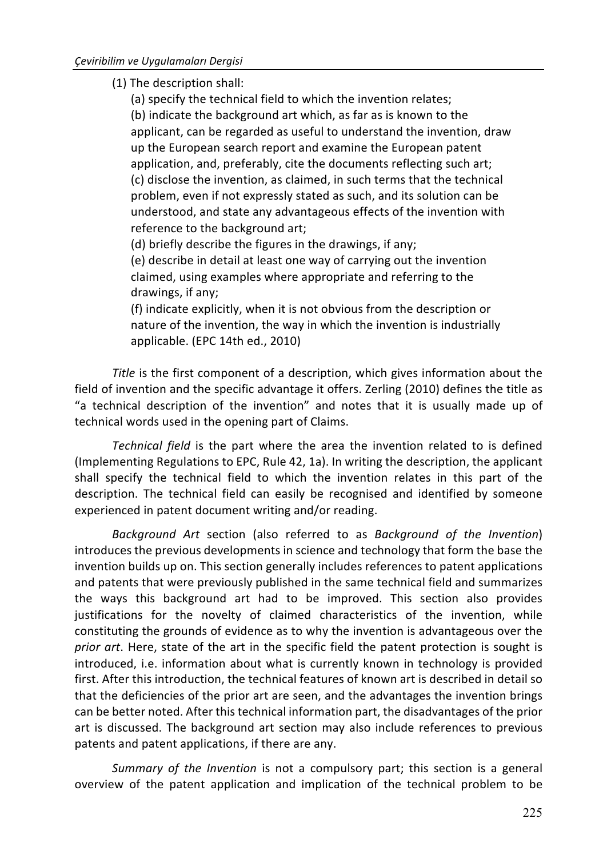(1) The description shall:

(a) specify the technical field to which the invention relates; (b) indicate the background art which, as far as is known to the applicant, can be regarded as useful to understand the invention, draw up the European search report and examine the European patent application, and, preferably, cite the documents reflecting such art; (c) disclose the invention, as claimed, in such terms that the technical problem, even if not expressly stated as such, and its solution can be understood, and state any advantageous effects of the invention with reference to the background art;

(d) briefly describe the figures in the drawings, if any;

(e) describe in detail at least one way of carrying out the invention claimed, using examples where appropriate and referring to the drawings, if any;

(f) indicate explicitly, when it is not obvious from the description or nature of the invention, the way in which the invention is industrially applicable. (EPC 14th ed., 2010)

*Title* is the first component of a description, which gives information about the field of invention and the specific advantage it offers. Zerling (2010) defines the title as "a technical description of the invention" and notes that it is usually made up of technical words used in the opening part of Claims.

*Technical field* is the part where the area the invention related to is defined (Implementing Regulations to EPC, Rule 42, 1a). In writing the description, the applicant shall specify the technical field to which the invention relates in this part of the description. The technical field can easily be recognised and identified by someone experienced in patent document writing and/or reading.

*Background Art* section (also referred to as *Background of the Invention*) introduces the previous developments in science and technology that form the base the invention builds up on. This section generally includes references to patent applications and patents that were previously published in the same technical field and summarizes the ways this background art had to be improved. This section also provides justifications for the novelty of claimed characteristics of the invention, while constituting the grounds of evidence as to why the invention is advantageous over the *prior art*. Here, state of the art in the specific field the patent protection is sought is introduced, i.e. information about what is currently known in technology is provided first. After this introduction, the technical features of known art is described in detail so that the deficiencies of the prior art are seen, and the advantages the invention brings can be better noted. After this technical information part, the disadvantages of the prior art is discussed. The background art section may also include references to previous patents and patent applications, if there are any.

*Summary* of the *Invention* is not a compulsory part; this section is a general overview of the patent application and implication of the technical problem to be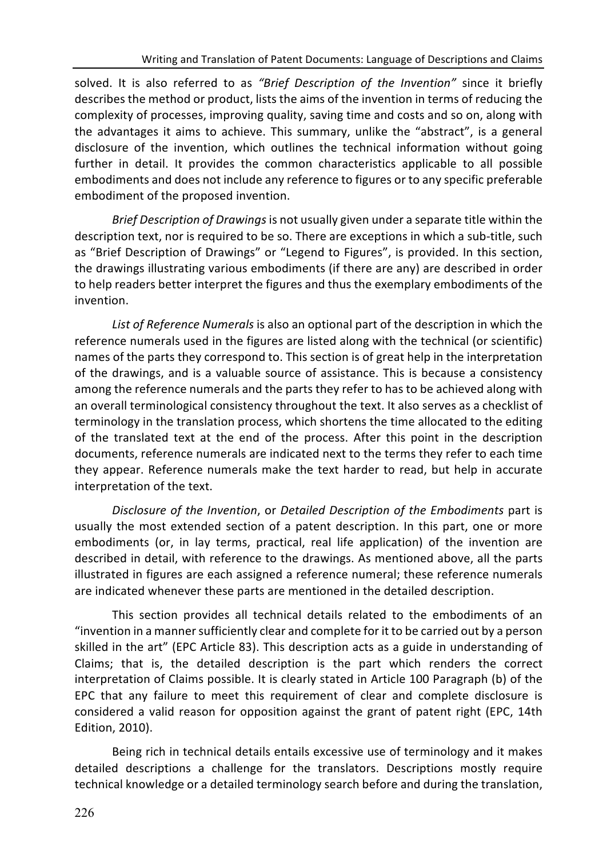solved. It is also referred to as "Brief Description of the Invention" since it briefly describes the method or product, lists the aims of the invention in terms of reducing the complexity of processes, improving quality, saving time and costs and so on, along with the advantages it aims to achieve. This summary, unlike the "abstract", is a general disclosure of the invention, which outlines the technical information without going further in detail. It provides the common characteristics applicable to all possible embodiments and does not include any reference to figures or to any specific preferable embodiment of the proposed invention.

*Brief Description of Drawings* is not usually given under a separate title within the description text, nor is required to be so. There are exceptions in which a sub-title, such as "Brief Description of Drawings" or "Legend to Figures", is provided. In this section, the drawings illustrating various embodiments (if there are any) are described in order to help readers better interpret the figures and thus the exemplary embodiments of the invention.

List of Reference Numerals is also an optional part of the description in which the reference numerals used in the figures are listed along with the technical (or scientific) names of the parts they correspond to. This section is of great help in the interpretation of the drawings, and is a valuable source of assistance. This is because a consistency among the reference numerals and the parts they refer to has to be achieved along with an overall terminological consistency throughout the text. It also serves as a checklist of terminology in the translation process, which shortens the time allocated to the editing of the translated text at the end of the process. After this point in the description documents, reference numerals are indicated next to the terms they refer to each time they appear. Reference numerals make the text harder to read, but help in accurate interpretation of the text.

*Disclosure of the Invention, or Detailed Description of the Embodiments part is* usually the most extended section of a patent description. In this part, one or more embodiments (or, in lay terms, practical, real life application) of the invention are described in detail, with reference to the drawings. As mentioned above, all the parts illustrated in figures are each assigned a reference numeral; these reference numerals are indicated whenever these parts are mentioned in the detailed description.

This section provides all technical details related to the embodiments of an "invention in a manner sufficiently clear and complete for it to be carried out by a person skilled in the art" (EPC Article 83). This description acts as a guide in understanding of Claims; that is, the detailed description is the part which renders the correct interpretation of Claims possible. It is clearly stated in Article 100 Paragraph (b) of the EPC that any failure to meet this requirement of clear and complete disclosure is considered a valid reason for opposition against the grant of patent right (EPC, 14th Edition, 2010).

Being rich in technical details entails excessive use of terminology and it makes detailed descriptions a challenge for the translators. Descriptions mostly require technical knowledge or a detailed terminology search before and during the translation,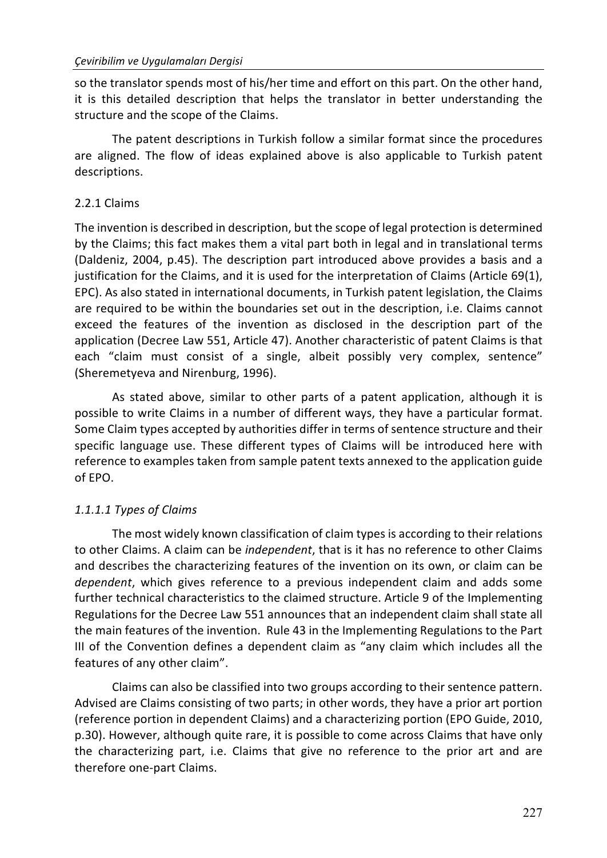so the translator spends most of his/her time and effort on this part. On the other hand, it is this detailed description that helps the translator in better understanding the structure and the scope of the Claims.

The patent descriptions in Turkish follow a similar format since the procedures are aligned. The flow of ideas explained above is also applicable to Turkish patent descriptions. 

## 2.2.1 Claims

The invention is described in description, but the scope of legal protection is determined by the Claims; this fact makes them a vital part both in legal and in translational terms (Daldeniz, 2004, p.45). The description part introduced above provides a basis and a justification for the Claims, and it is used for the interpretation of Claims (Article  $69(1)$ , EPC). As also stated in international documents, in Turkish patent legislation, the Claims are required to be within the boundaries set out in the description, i.e. Claims cannot exceed the features of the invention as disclosed in the description part of the application (Decree Law 551, Article 47). Another characteristic of patent Claims is that each "claim must consist of a single, albeit possibly very complex, sentence" (Sheremetyeva and Nirenburg, 1996).

As stated above, similar to other parts of a patent application, although it is possible to write Claims in a number of different ways, they have a particular format. Some Claim types accepted by authorities differ in terms of sentence structure and their specific language use. These different types of Claims will be introduced here with reference to examples taken from sample patent texts annexed to the application guide of FPO.

# *1.1.1.1 Types of Claims*

The most widely known classification of claim types is according to their relations to other Claims. A claim can be *independent*, that is it has no reference to other Claims and describes the characterizing features of the invention on its own, or claim can be dependent, which gives reference to a previous independent claim and adds some further technical characteristics to the claimed structure. Article 9 of the Implementing Regulations for the Decree Law 551 announces that an independent claim shall state all the main features of the invention. Rule 43 in the Implementing Regulations to the Part III of the Convention defines a dependent claim as "any claim which includes all the features of any other claim".

Claims can also be classified into two groups according to their sentence pattern. Advised are Claims consisting of two parts; in other words, they have a prior art portion (reference portion in dependent Claims) and a characterizing portion (EPO Guide, 2010, p.30). However, although quite rare, it is possible to come across Claims that have only the characterizing part, i.e. Claims that give no reference to the prior art and are therefore one-part Claims.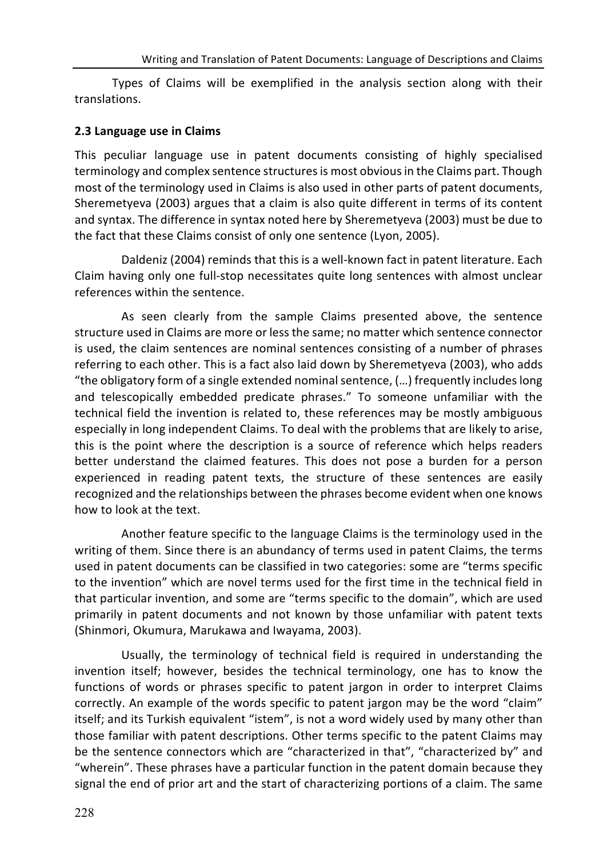Types of Claims will be exemplified in the analysis section along with their translations.

#### **2.3 Language use in Claims**

This peculiar language use in patent documents consisting of highly specialised terminology and complex sentence structures is most obvious in the Claims part. Though most of the terminology used in Claims is also used in other parts of patent documents, Sheremetyeva (2003) argues that a claim is also quite different in terms of its content and syntax. The difference in syntax noted here by Sheremetyeva (2003) must be due to the fact that these Claims consist of only one sentence (Lyon, 2005).

Daldeniz (2004) reminds that this is a well-known fact in patent literature. Each Claim having only one full-stop necessitates quite long sentences with almost unclear references within the sentence.

As seen clearly from the sample Claims presented above, the sentence structure used in Claims are more or less the same; no matter which sentence connector is used, the claim sentences are nominal sentences consisting of a number of phrases referring to each other. This is a fact also laid down by Sheremetyeva (2003), who adds "the obligatory form of a single extended nominal sentence,  $(...)$  frequently includes long and telescopically embedded predicate phrases." To someone unfamiliar with the technical field the invention is related to, these references may be mostly ambiguous especially in long independent Claims. To deal with the problems that are likely to arise, this is the point where the description is a source of reference which helps readers better understand the claimed features. This does not pose a burden for a person experienced in reading patent texts, the structure of these sentences are easily recognized and the relationships between the phrases become evident when one knows how to look at the text.

Another feature specific to the language Claims is the terminology used in the writing of them. Since there is an abundancy of terms used in patent Claims, the terms used in patent documents can be classified in two categories: some are "terms specific to the invention" which are novel terms used for the first time in the technical field in that particular invention, and some are "terms specific to the domain", which are used primarily in patent documents and not known by those unfamiliar with patent texts (Shinmori, Okumura, Marukawa and Iwayama, 2003).

Usually, the terminology of technical field is required in understanding the invention itself; however, besides the technical terminology, one has to know the functions of words or phrases specific to patent jargon in order to interpret Claims correctly. An example of the words specific to patent jargon may be the word "claim" itself; and its Turkish equivalent "istem", is not a word widely used by many other than those familiar with patent descriptions. Other terms specific to the patent Claims may be the sentence connectors which are "characterized in that", "characterized by" and "wherein". These phrases have a particular function in the patent domain because they signal the end of prior art and the start of characterizing portions of a claim. The same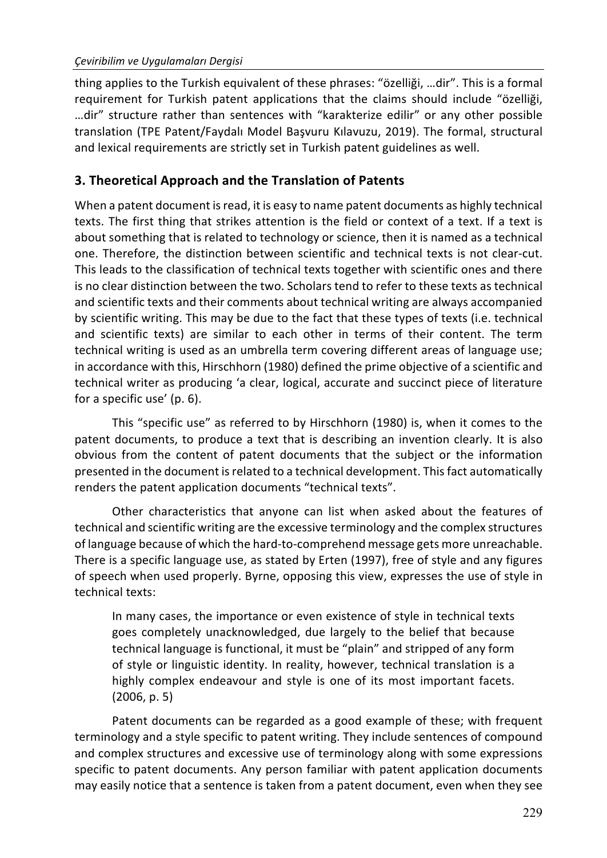thing applies to the Turkish equivalent of these phrases: "özelliği, ...dir". This is a formal requirement for Turkish patent applications that the claims should include "özelliği, ...dir" structure rather than sentences with "karakterize edilir" or any other possible translation (TPE Patent/Faydalı Model Başvuru Kılavuzu, 2019). The formal, structural and lexical requirements are strictly set in Turkish patent guidelines as well.

# **3. Theoretical Approach and the Translation of Patents**

When a patent document is read, it is easy to name patent documents as highly technical texts. The first thing that strikes attention is the field or context of a text. If a text is about something that is related to technology or science, then it is named as a technical one. Therefore, the distinction between scientific and technical texts is not clear-cut. This leads to the classification of technical texts together with scientific ones and there is no clear distinction between the two. Scholars tend to refer to these texts as technical and scientific texts and their comments about technical writing are always accompanied by scientific writing. This may be due to the fact that these types of texts (i.e. technical and scientific texts) are similar to each other in terms of their content. The term technical writing is used as an umbrella term covering different areas of language use; in accordance with this, Hirschhorn (1980) defined the prime objective of a scientific and technical writer as producing 'a clear, logical, accurate and succinct piece of literature for a specific use'  $(p. 6)$ .

This "specific use" as referred to by Hirschhorn (1980) is, when it comes to the patent documents, to produce a text that is describing an invention clearly. It is also obvious from the content of patent documents that the subject or the information presented in the document is related to a technical development. This fact automatically renders the patent application documents "technical texts".

Other characteristics that anyone can list when asked about the features of technical and scientific writing are the excessive terminology and the complex structures of language because of which the hard-to-comprehend message gets more unreachable. There is a specific language use, as stated by Erten (1997), free of style and any figures of speech when used properly. Byrne, opposing this view, expresses the use of style in technical texts:

In many cases, the importance or even existence of style in technical texts goes completely unacknowledged, due largely to the belief that because technical language is functional, it must be "plain" and stripped of any form of style or linguistic identity. In reality, however, technical translation is a highly complex endeavour and style is one of its most important facets.  $(2006, p. 5)$ 

Patent documents can be regarded as a good example of these; with frequent terminology and a style specific to patent writing. They include sentences of compound and complex structures and excessive use of terminology along with some expressions specific to patent documents. Any person familiar with patent application documents may easily notice that a sentence is taken from a patent document, even when they see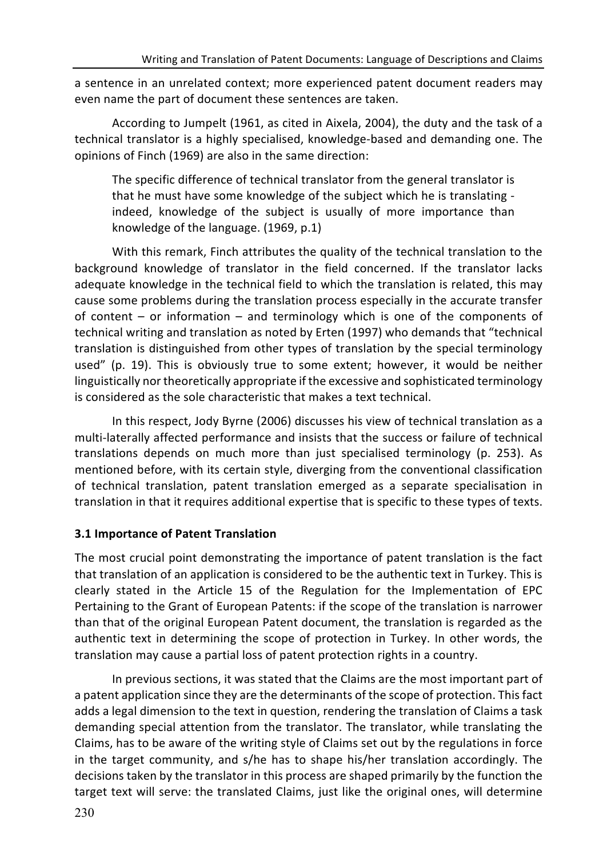a sentence in an unrelated context; more experienced patent document readers may even name the part of document these sentences are taken.

According to Jumpelt (1961, as cited in Aixela, 2004), the duty and the task of a technical translator is a highly specialised, knowledge-based and demanding one. The opinions of Finch (1969) are also in the same direction:

The specific difference of technical translator from the general translator is that he must have some knowledge of the subject which he is translating indeed, knowledge of the subject is usually of more importance than knowledge of the language.  $(1969, p.1)$ 

With this remark, Finch attributes the quality of the technical translation to the background knowledge of translator in the field concerned. If the translator lacks adequate knowledge in the technical field to which the translation is related, this may cause some problems during the translation process especially in the accurate transfer of content  $-$  or information  $-$  and terminology which is one of the components of technical writing and translation as noted by Erten (1997) who demands that "technical translation is distinguished from other types of translation by the special terminology used" (p. 19). This is obviously true to some extent; however, it would be neither linguistically nor theoretically appropriate if the excessive and sophisticated terminology is considered as the sole characteristic that makes a text technical.

In this respect, Jody Byrne (2006) discusses his view of technical translation as a multi-laterally affected performance and insists that the success or failure of technical translations depends on much more than just specialised terminology (p. 253). As mentioned before, with its certain style, diverging from the conventional classification of technical translation, patent translation emerged as a separate specialisation in translation in that it requires additional expertise that is specific to these types of texts.

## **3.1 Importance of Patent Translation**

The most crucial point demonstrating the importance of patent translation is the fact that translation of an application is considered to be the authentic text in Turkey. This is clearly stated in the Article 15 of the Regulation for the Implementation of EPC Pertaining to the Grant of European Patents: if the scope of the translation is narrower than that of the original European Patent document, the translation is regarded as the authentic text in determining the scope of protection in Turkey. In other words, the translation may cause a partial loss of patent protection rights in a country.

In previous sections, it was stated that the Claims are the most important part of a patent application since they are the determinants of the scope of protection. This fact adds a legal dimension to the text in question, rendering the translation of Claims a task demanding special attention from the translator. The translator, while translating the Claims, has to be aware of the writing style of Claims set out by the regulations in force in the target community, and s/he has to shape his/her translation accordingly. The decisions taken by the translator in this process are shaped primarily by the function the target text will serve: the translated Claims, just like the original ones, will determine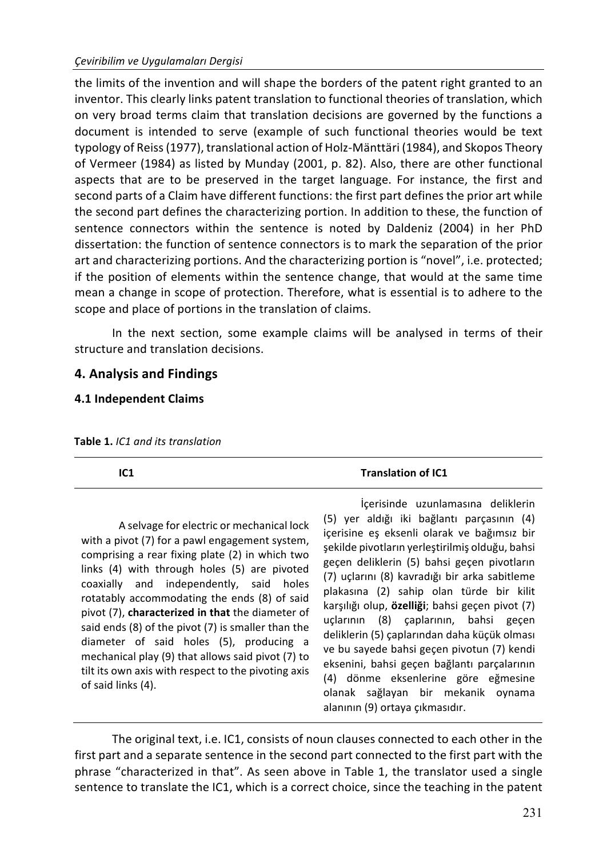the limits of the invention and will shape the borders of the patent right granted to an inventor. This clearly links patent translation to functional theories of translation, which on very broad terms claim that translation decisions are governed by the functions a document is intended to serve (example of such functional theories would be text typology of Reiss (1977), translational action of Holz-Mänttäri (1984), and Skopos Theory of Vermeer (1984) as listed by Munday (2001, p. 82). Also, there are other functional aspects that are to be preserved in the target language. For instance, the first and second parts of a Claim have different functions: the first part defines the prior art while the second part defines the characterizing portion. In addition to these, the function of sentence connectors within the sentence is noted by Daldeniz (2004) in her PhD dissertation: the function of sentence connectors is to mark the separation of the prior art and characterizing portions. And the characterizing portion is "novel", i.e. protected; if the position of elements within the sentence change, that would at the same time mean a change in scope of protection. Therefore, what is essential is to adhere to the scope and place of portions in the translation of claims.

In the next section, some example claims will be analysed in terms of their structure and translation decisions.

## **4. Analysis and Findings**

#### **4.1 Independent Claims**

| IC1                                                                                                                                                                                                                                                                                                                                                                                                                                                                                                                                                                              | <b>Translation of IC1</b>                                                                                                                                                                                                                                                                                                                                                                                                                                                                                                                                                                                                                                                               |
|----------------------------------------------------------------------------------------------------------------------------------------------------------------------------------------------------------------------------------------------------------------------------------------------------------------------------------------------------------------------------------------------------------------------------------------------------------------------------------------------------------------------------------------------------------------------------------|-----------------------------------------------------------------------------------------------------------------------------------------------------------------------------------------------------------------------------------------------------------------------------------------------------------------------------------------------------------------------------------------------------------------------------------------------------------------------------------------------------------------------------------------------------------------------------------------------------------------------------------------------------------------------------------------|
| A selvage for electric or mechanical lock<br>with a pivot (7) for a pawl engagement system,<br>comprising a rear fixing plate (2) in which two<br>links (4) with through holes (5) are pivoted<br>coaxially and independently, said holes<br>rotatably accommodating the ends (8) of said<br>pivot (7), characterized in that the diameter of<br>said ends (8) of the pivot (7) is smaller than the<br>diameter of said holes (5), producing a<br>mechanical play (9) that allows said pivot (7) to<br>tilt its own axis with respect to the pivoting axis<br>of said links (4). | İçerisinde uzunlamasına deliklerin<br>(5) yer aldığı iki bağlantı parçasının (4)<br>icerisine es eksenli olarak ve bağımsız bir<br>sekilde pivotların yerleştirilmiş olduğu, bahsi<br>geçen deliklerin (5) bahsi geçen pivotların<br>(7) uçlarını (8) kavradığı bir arka sabitleme<br>plakasına (2) sahip olan türde bir kilit<br>karşılığı olup, özelliği; bahsi geçen pivot (7)<br>uçlarının (8) çaplarının, bahsi geçen<br>deliklerin (5) çaplarından daha küçük olması<br>ve bu sayede bahsi geçen pivotun (7) kendi<br>eksenini, bahsi geçen bağlantı parçalarının<br>(4) dönme eksenlerine göre eğmesine<br>olanak sağlayan bir mekanik oynama<br>alanının (9) ortaya çıkmasıdır. |

Table 1. *IC1* and its translation

The original text, i.e. IC1, consists of noun clauses connected to each other in the first part and a separate sentence in the second part connected to the first part with the phrase "characterized in that". As seen above in Table 1, the translator used a single sentence to translate the IC1, which is a correct choice, since the teaching in the patent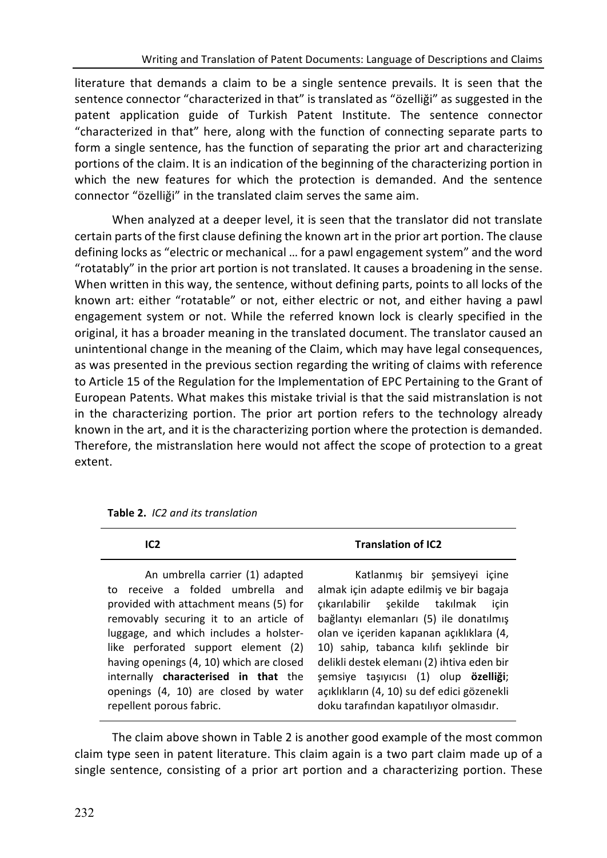literature that demands a claim to be a single sentence prevails. It is seen that the sentence connector "characterized in that" is translated as "özelliği" as suggested in the patent application guide of Turkish Patent Institute. The sentence connector "characterized in that" here, along with the function of connecting separate parts to form a single sentence, has the function of separating the prior art and characterizing portions of the claim. It is an indication of the beginning of the characterizing portion in which the new features for which the protection is demanded. And the sentence connector "özelliği" in the translated claim serves the same aim.

When analyzed at a deeper level, it is seen that the translator did not translate certain parts of the first clause defining the known art in the prior art portion. The clause defining locks as "electric or mechanical ... for a pawl engagement system" and the word "rotatably" in the prior art portion is not translated. It causes a broadening in the sense. When written in this way, the sentence, without defining parts, points to all locks of the known art: either "rotatable" or not, either electric or not, and either having a pawl engagement system or not. While the referred known lock is clearly specified in the original, it has a broader meaning in the translated document. The translator caused an unintentional change in the meaning of the Claim, which may have legal consequences, as was presented in the previous section regarding the writing of claims with reference to Article 15 of the Regulation for the Implementation of EPC Pertaining to the Grant of European Patents. What makes this mistake trivial is that the said mistranslation is not in the characterizing portion. The prior art portion refers to the technology already known in the art, and it is the characterizing portion where the protection is demanded. Therefore, the mistranslation here would not affect the scope of protection to a great extent.

| IC <sub>2</sub>                                                                                                                                                                                                                                                                                                              | <b>Translation of IC2</b>                                                                                                                                                                                                                                                                                                                  |
|------------------------------------------------------------------------------------------------------------------------------------------------------------------------------------------------------------------------------------------------------------------------------------------------------------------------------|--------------------------------------------------------------------------------------------------------------------------------------------------------------------------------------------------------------------------------------------------------------------------------------------------------------------------------------------|
| An umbrella carrier (1) adapted<br>to receive a folded umbrella and<br>provided with attachment means (5) for<br>removably securing it to an article of<br>luggage, and which includes a holster-<br>like perforated support element (2)<br>having openings (4, 10) which are closed<br>internally characterised in that the | Katlanmış bir şemsiyeyi içine<br>almak için adapte edilmiş ve bir bagaja<br>cıkarılabilir şekilde takılmak<br>icin<br>bağlantyı elemanları (5) ile donatılmış<br>olan ve içeriden kapanan açıklıklara (4,<br>10) sahip, tabanca kılıfı şeklinde bir<br>delikli destek elemanı (2) ihtiva eden bir<br>semsiye taşıyıcısı (1) olup özelliği; |
| openings (4, 10) are closed by water<br>repellent porous fabric.                                                                                                                                                                                                                                                             | açıklıkların (4, 10) su def edici gözenekli<br>doku tarafından kapatılıyor olmasıdır.                                                                                                                                                                                                                                                      |

**Table 2.** *IC2 and its translation*

The claim above shown in Table 2 is another good example of the most common claim type seen in patent literature. This claim again is a two part claim made up of a single sentence, consisting of a prior art portion and a characterizing portion. These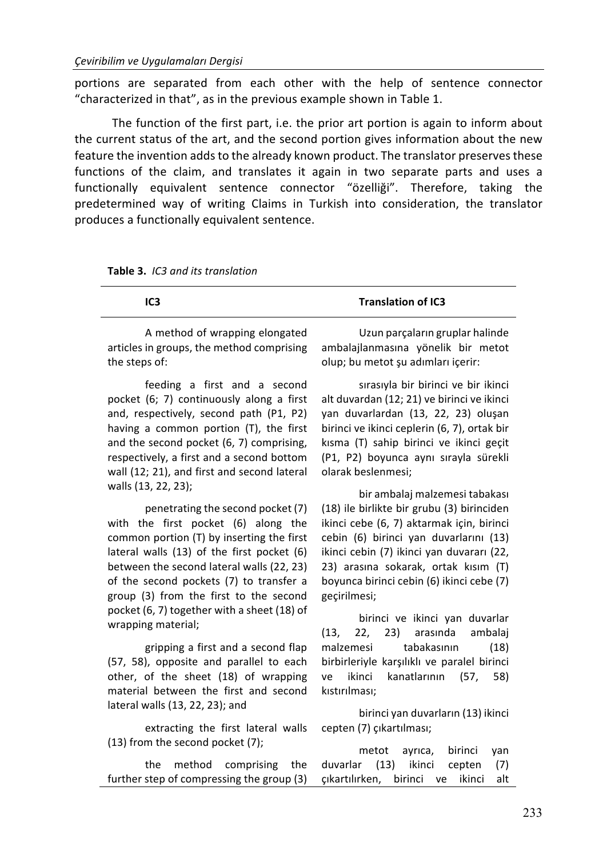**Table 3.** *IC3 and its translation*

portions are separated from each other with the help of sentence connector "characterized in that", as in the previous example shown in Table 1.

The function of the first part, i.e. the prior art portion is again to inform about the current status of the art, and the second portion gives information about the new feature the invention adds to the already known product. The translator preserves these functions of the claim, and translates it again in two separate parts and uses a functionally equivalent sentence connector "özelliği". Therefore, taking the predetermined way of writing Claims in Turkish into consideration, the translator produces a functionally equivalent sentence.

| IC <sub>3</sub>                                                                                                                                                                                                                                                                                                                                                               | <b>Translation of IC3</b>                                                                                                                                                                                                                                                                                                                               |
|-------------------------------------------------------------------------------------------------------------------------------------------------------------------------------------------------------------------------------------------------------------------------------------------------------------------------------------------------------------------------------|---------------------------------------------------------------------------------------------------------------------------------------------------------------------------------------------------------------------------------------------------------------------------------------------------------------------------------------------------------|
| A method of wrapping elongated<br>articles in groups, the method comprising<br>the steps of:                                                                                                                                                                                                                                                                                  | Uzun parçaların gruplar halinde<br>ambalajlanmasına yönelik bir metot<br>olup; bu metot șu adımları içerir:                                                                                                                                                                                                                                             |
| feeding a first and a second<br>pocket (6; 7) continuously along a first<br>and, respectively, second path (P1, P2)<br>having a common portion (T), the first<br>and the second pocket (6, 7) comprising,<br>respectively, a first and a second bottom<br>wall (12; 21), and first and second lateral                                                                         | sırasıyla bir birinci ve bir ikinci<br>alt duvardan (12; 21) ve birinci ve ikinci<br>yan duvarlardan (13, 22, 23) oluşan<br>birinci ve ikinci ceplerin (6, 7), ortak bir<br>kısma (T) sahip birinci ve ikinci geçit<br>(P1, P2) boyunca aynı sırayla sürekli<br>olarak beslenmesi;                                                                      |
| walls (13, 22, 23);<br>penetrating the second pocket (7)<br>with the first pocket (6) along the<br>common portion $(T)$ by inserting the first<br>lateral walls (13) of the first pocket (6)<br>between the second lateral walls (22, 23)<br>of the second pockets (7) to transfer a<br>group (3) from the first to the second<br>pocket (6, 7) together with a sheet (18) of | bir ambalaj malzemesi tabakası<br>(18) ile birlikte bir grubu (3) birinciden<br>ikinci cebe (6, 7) aktarmak için, birinci<br>cebin (6) birinci yan duvarlarını (13)<br>ikinci cebin (7) ikinci yan duvararı (22,<br>23) arasına sokarak, ortak kısım (T)<br>boyunca birinci cebin (6) ikinci cebe (7)<br>geçirilmesi;<br>birinci ve ikinci yan duvarlar |
| wrapping material;<br>gripping a first and a second flap<br>(57, 58), opposite and parallel to each<br>other, of the sheet (18) of wrapping<br>material between the first and second<br>lateral walls (13, 22, 23); and<br>extracting the first lateral walls                                                                                                                 | 22, 23) arasında<br>ambalaj<br>(13,<br>tabakasının<br>(18)<br>malzemesi<br>birbirleriyle karşılıklı ve paralel birinci<br>ikinci<br>kanatlarının<br>(57, 1)<br>58)<br>ve<br>kıstırılması;<br>birinci yan duvarların (13) ikinci<br>cepten (7) çıkartılması;                                                                                             |
|                                                                                                                                                                                                                                                                                                                                                                               |                                                                                                                                                                                                                                                                                                                                                         |

 $(13)$  from the second pocket  $(7)$ ;

the method comprising the further step of compressing the group  $(3)$ 

metot ayrıca, birinci yan duvarlar (13) ikinci cepten (7) çıkartılırken, birinci ve ikinci alt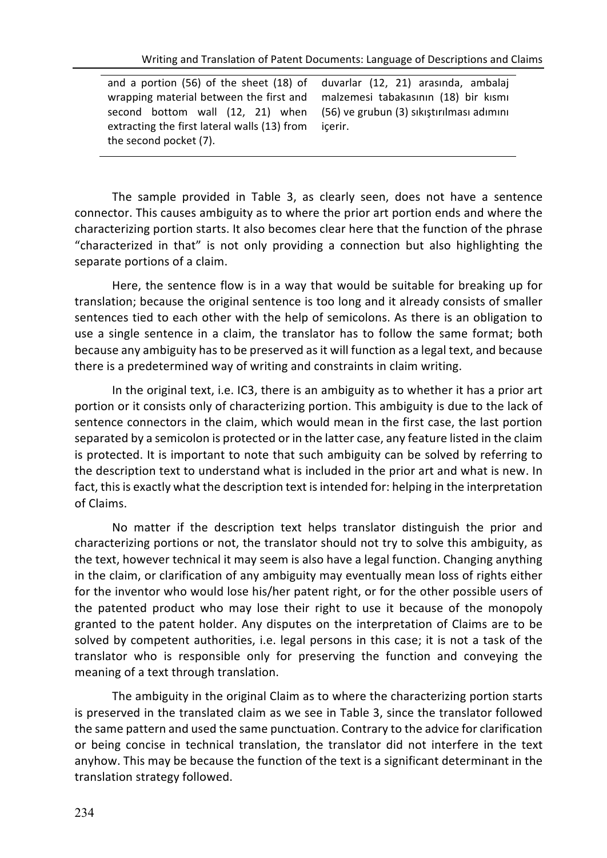| and a portion (56) of the sheet (18) of duvarlar (12, 21) arasinda, ambalaj  |         |
|------------------------------------------------------------------------------|---------|
| wrapping material between the first and malzemesi tabakasının (18) bir kısmı |         |
| second bottom wall (12, 21) when (56) ve grubun (3) sikistirilmasi adimini   |         |
| extracting the first lateral walls (13) from                                 | icerir. |
| the second pocket (7).                                                       |         |

The sample provided in Table 3, as clearly seen, does not have a sentence connector. This causes ambiguity as to where the prior art portion ends and where the characterizing portion starts. It also becomes clear here that the function of the phrase "characterized in that" is not only providing a connection but also highlighting the separate portions of a claim.

Here, the sentence flow is in a way that would be suitable for breaking up for translation; because the original sentence is too long and it already consists of smaller sentences tied to each other with the help of semicolons. As there is an obligation to use a single sentence in a claim, the translator has to follow the same format; both because any ambiguity has to be preserved as it will function as a legal text, and because there is a predetermined way of writing and constraints in claim writing.

In the original text, i.e. IC3, there is an ambiguity as to whether it has a prior art portion or it consists only of characterizing portion. This ambiguity is due to the lack of sentence connectors in the claim, which would mean in the first case, the last portion separated by a semicolon is protected or in the latter case, any feature listed in the claim is protected. It is important to note that such ambiguity can be solved by referring to the description text to understand what is included in the prior art and what is new. In fact, this is exactly what the description text is intended for: helping in the interpretation of Claims. 

No matter if the description text helps translator distinguish the prior and characterizing portions or not, the translator should not try to solve this ambiguity, as the text, however technical it may seem is also have a legal function. Changing anything in the claim, or clarification of any ambiguity may eventually mean loss of rights either for the inventor who would lose his/her patent right, or for the other possible users of the patented product who may lose their right to use it because of the monopoly granted to the patent holder. Any disputes on the interpretation of Claims are to be solved by competent authorities, i.e. legal persons in this case; it is not a task of the translator who is responsible only for preserving the function and conveying the meaning of a text through translation.

The ambiguity in the original Claim as to where the characterizing portion starts is preserved in the translated claim as we see in Table 3, since the translator followed the same pattern and used the same punctuation. Contrary to the advice for clarification or being concise in technical translation, the translator did not interfere in the text anyhow. This may be because the function of the text is a significant determinant in the translation strategy followed.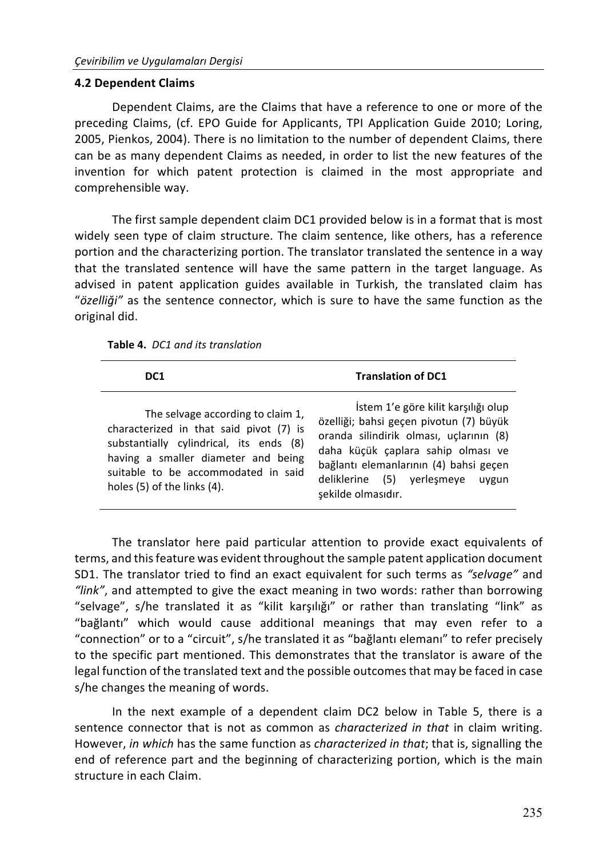#### **4.2 Dependent Claims**

Dependent Claims, are the Claims that have a reference to one or more of the preceding Claims, (cf. EPO Guide for Applicants, TPI Application Guide 2010; Loring, 2005, Pienkos, 2004). There is no limitation to the number of dependent Claims, there can be as many dependent Claims as needed, in order to list the new features of the invention for which patent protection is claimed in the most appropriate and comprehensible way.

The first sample dependent claim DC1 provided below is in a format that is most widely seen type of claim structure. The claim sentence, like others, has a reference portion and the characterizing portion. The translator translated the sentence in a way that the translated sentence will have the same pattern in the target language. As advised in patent application guides available in Turkish, the translated claim has "özelliği" as the sentence connector, which is sure to have the same function as the original did.

| <b>Table 4.</b> DC1 and its translation |
|-----------------------------------------|
|-----------------------------------------|

| DC1                                                                                                                                                                                                                                       | <b>Translation of DC1</b>                                                                                                                                                                                                                                              |
|-------------------------------------------------------------------------------------------------------------------------------------------------------------------------------------------------------------------------------------------|------------------------------------------------------------------------------------------------------------------------------------------------------------------------------------------------------------------------------------------------------------------------|
| The selvage according to claim 1,<br>characterized in that said pivot (7) is<br>substantially cylindrical, its ends (8)<br>having a smaller diameter and being<br>suitable to be accommodated in said<br>holes $(5)$ of the links $(4)$ . | İstem 1'e göre kilit karşılığı olup<br>özelliği; bahsi geçen pivotun (7) büyük<br>oranda silindirik olması, uçlarının (8)<br>daha küçük çaplara sahip olması ve<br>bağlantı elemanlarının (4) bahsi geçen<br>deliklerine (5) verlesmeye<br>uvgun<br>şekilde olmasıdır. |

The translator here paid particular attention to provide exact equivalents of terms, and this feature was evident throughout the sample patent application document SD1. The translator tried to find an exact equivalent for such terms as "selvage" and *"link"*, and attempted to give the exact meaning in two words: rather than borrowing "selvage", s/he translated it as "kilit karşılığı" or rather than translating "link" as "bağlantı" which would cause additional meanings that may even refer to a "connection" or to a "circuit", s/he translated it as "bağlantı elemanı" to refer precisely to the specific part mentioned. This demonstrates that the translator is aware of the legal function of the translated text and the possible outcomes that may be faced in case s/he changes the meaning of words.

In the next example of a dependent claim DC2 below in Table 5, there is a sentence connector that is not as common as *characterized in that* in claim writing. However, *in which* has the same function as *characterized in that*; that is, signalling the end of reference part and the beginning of characterizing portion, which is the main structure in each Claim.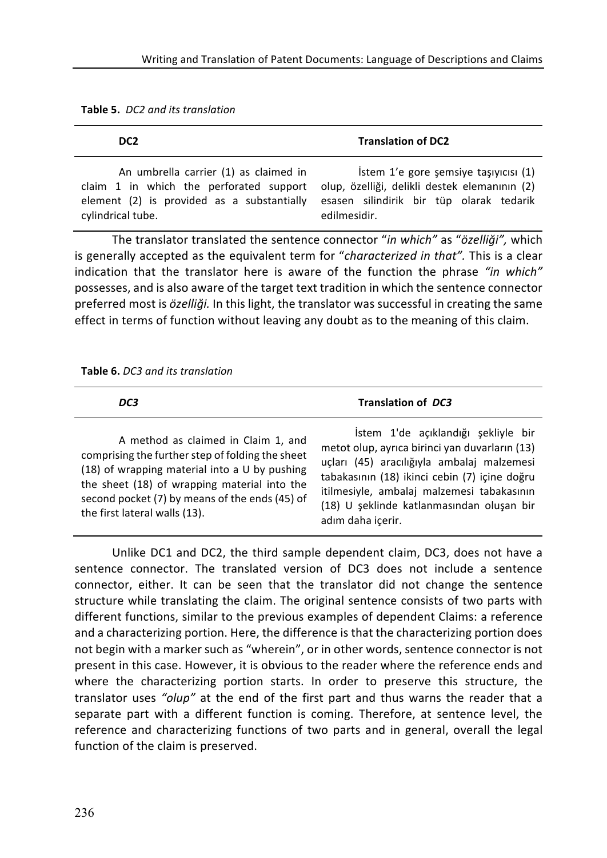| Table 5. DC2 and its translation |  |  |  |  |  |
|----------------------------------|--|--|--|--|--|
|----------------------------------|--|--|--|--|--|

| DC <sub>2</sub>                            | <b>Translation of DC2</b>                     |
|--------------------------------------------|-----------------------------------------------|
| An umbrella carrier (1) as claimed in      | Istem 1'e gore semsive tasivicisi (1)         |
| claim 1 in which the perforated support    | olup, özelliği, delikli destek elemanının (2) |
| element (2) is provided as a substantially | esasen silindirik bir tüp olarak tedarik      |
| cylindrical tube.                          | edilmesidir.                                  |

The translator translated the sentence connector "in which" as "özelliği", which is generally accepted as the equivalent term for "*characterized in that"*. This is a clear indication that the translator here is aware of the function the phrase "in which" possesses, and is also aware of the target text tradition in which the sentence connector preferred most is özelliği. In this light, the translator was successful in creating the same effect in terms of function without leaving any doubt as to the meaning of this claim.

#### **Table 6.** *DC3* and its translation

| DC3                                                                                                                                                                                                                                                                         | <b>Translation of DC3</b>                                                                                                                                                                                                                                                                            |
|-----------------------------------------------------------------------------------------------------------------------------------------------------------------------------------------------------------------------------------------------------------------------------|------------------------------------------------------------------------------------------------------------------------------------------------------------------------------------------------------------------------------------------------------------------------------------------------------|
| A method as claimed in Claim 1, and<br>comprising the further step of folding the sheet<br>(18) of wrapping material into a U by pushing<br>the sheet (18) of wrapping material into the<br>second pocket (7) by means of the ends (45) of<br>the first lateral walls (13). | İstem 1'de açıklandığı şekliyle bir<br>metot olup, ayrıca birinci yan duvarların (13)<br>uçları (45) aracılığıyla ambalaj malzemesi<br>tabakasının (18) ikinci cebin (7) içine doğru<br>itilmesiyle, ambalaj malzemesi tabakasının<br>(18) U seklinde katlanmasından oluşan bir<br>adım daha içerir. |

Unlike DC1 and DC2, the third sample dependent claim, DC3, does not have a sentence connector. The translated version of DC3 does not include a sentence connector, either. It can be seen that the translator did not change the sentence structure while translating the claim. The original sentence consists of two parts with different functions, similar to the previous examples of dependent Claims: a reference and a characterizing portion. Here, the difference is that the characterizing portion does not begin with a marker such as "wherein", or in other words, sentence connector is not present in this case. However, it is obvious to the reader where the reference ends and where the characterizing portion starts. In order to preserve this structure, the translator uses "olup" at the end of the first part and thus warns the reader that a separate part with a different function is coming. Therefore, at sentence level, the reference and characterizing functions of two parts and in general, overall the legal function of the claim is preserved.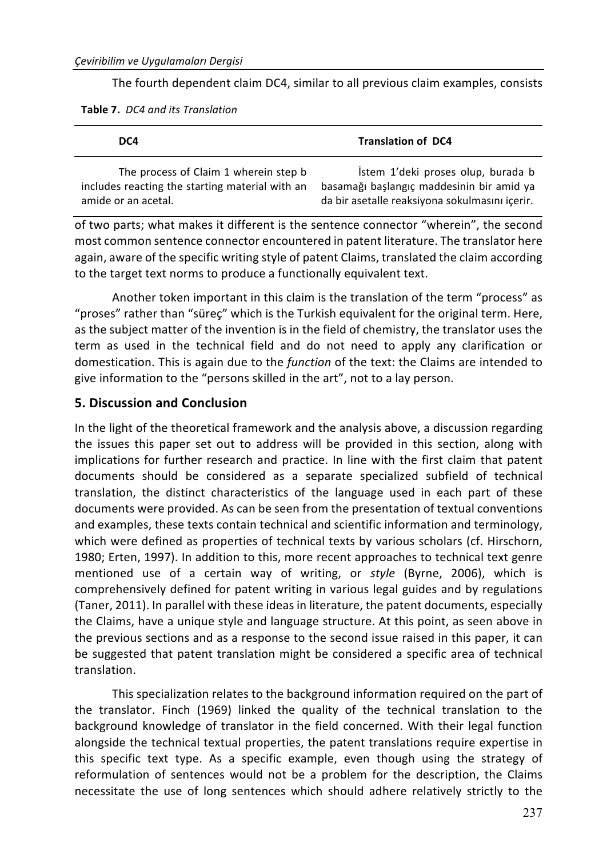The fourth dependent claim DC4, similar to all previous claim examples, consists

|  |  |  | Table 7. DC4 and its Translation |
|--|--|--|----------------------------------|
|--|--|--|----------------------------------|

| DC4                                             | <b>Translation of DC4</b>                      |
|-------------------------------------------------|------------------------------------------------|
| The process of Claim 1 wherein step b           | Istem 1'deki proses olup, burada b             |
| includes reacting the starting material with an | basamağı başlangıç maddesinin bir amid ya      |
| amide or an acetal.                             | da bir asetalle reaksiyona sokulmasını içerir. |

of two parts; what makes it different is the sentence connector "wherein", the second most common sentence connector encountered in patent literature. The translator here again, aware of the specific writing style of patent Claims, translated the claim according to the target text norms to produce a functionally equivalent text.

Another token important in this claim is the translation of the term "process" as "proses" rather than "süreç" which is the Turkish equivalent for the original term. Here, as the subject matter of the invention is in the field of chemistry, the translator uses the term as used in the technical field and do not need to apply any clarification or domestication. This is again due to the *function* of the text: the Claims are intended to give information to the "persons skilled in the art", not to a lay person.

## **5. Discussion and Conclusion**

In the light of the theoretical framework and the analysis above, a discussion regarding the issues this paper set out to address will be provided in this section, along with implications for further research and practice. In line with the first claim that patent documents should be considered as a separate specialized subfield of technical translation, the distinct characteristics of the language used in each part of these documents were provided. As can be seen from the presentation of textual conventions and examples, these texts contain technical and scientific information and terminology, which were defined as properties of technical texts by various scholars (cf. Hirschorn, 1980; Erten, 1997). In addition to this, more recent approaches to technical text genre mentioned use of a certain way of writing, or *style* (Byrne, 2006), which is comprehensively defined for patent writing in various legal guides and by regulations (Taner, 2011). In parallel with these ideas in literature, the patent documents, especially the Claims, have a unique style and language structure. At this point, as seen above in the previous sections and as a response to the second issue raised in this paper, it can be suggested that patent translation might be considered a specific area of technical translation. 

This specialization relates to the background information required on the part of the translator. Finch (1969) linked the quality of the technical translation to the background knowledge of translator in the field concerned. With their legal function alongside the technical textual properties, the patent translations require expertise in this specific text type. As a specific example, even though using the strategy of reformulation of sentences would not be a problem for the description, the Claims necessitate the use of long sentences which should adhere relatively strictly to the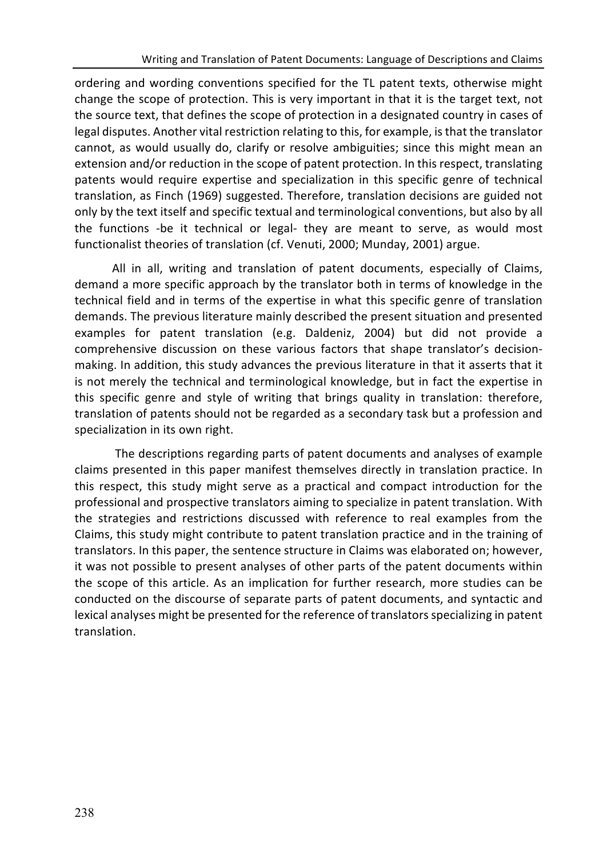ordering and wording conventions specified for the TL patent texts, otherwise might change the scope of protection. This is very important in that it is the target text, not the source text, that defines the scope of protection in a designated country in cases of legal disputes. Another vital restriction relating to this, for example, is that the translator cannot, as would usually do, clarify or resolve ambiguities; since this might mean an extension and/or reduction in the scope of patent protection. In this respect, translating patents would require expertise and specialization in this specific genre of technical translation, as Finch (1969) suggested. Therefore, translation decisions are guided not only by the text itself and specific textual and terminological conventions, but also by all the functions -be it technical or legal- they are meant to serve, as would most functionalist theories of translation (cf. Venuti, 2000; Munday, 2001) argue.

All in all, writing and translation of patent documents, especially of Claims, demand a more specific approach by the translator both in terms of knowledge in the technical field and in terms of the expertise in what this specific genre of translation demands. The previous literature mainly described the present situation and presented examples for patent translation (e.g. Daldeniz, 2004) but did not provide a comprehensive discussion on these various factors that shape translator's decisionmaking. In addition, this study advances the previous literature in that it asserts that it is not merely the technical and terminological knowledge, but in fact the expertise in this specific genre and style of writing that brings quality in translation: therefore, translation of patents should not be regarded as a secondary task but a profession and specialization in its own right.

The descriptions regarding parts of patent documents and analyses of example claims presented in this paper manifest themselves directly in translation practice. In this respect, this study might serve as a practical and compact introduction for the professional and prospective translators aiming to specialize in patent translation. With the strategies and restrictions discussed with reference to real examples from the Claims, this study might contribute to patent translation practice and in the training of translators. In this paper, the sentence structure in Claims was elaborated on; however, it was not possible to present analyses of other parts of the patent documents within the scope of this article. As an implication for further research, more studies can be conducted on the discourse of separate parts of patent documents, and syntactic and lexical analyses might be presented for the reference of translators specializing in patent translation.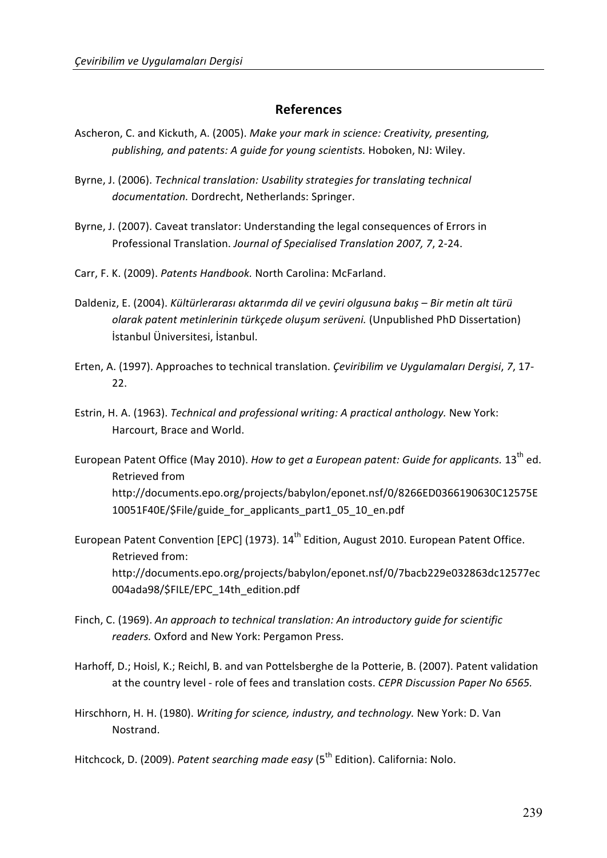#### **References**

- Ascheron, C. and Kickuth, A. (2005). Make your mark in science: Creativity, presenting, publishing, and patents: A quide for young scientists. Hoboken, NJ: Wiley.
- Byrne, J. (2006). *Technical translation: Usability strategies for translating technical* documentation. Dordrecht, Netherlands: Springer.
- Byrne, J. (2007). Caveat translator: Understanding the legal consequences of Errors in Professional Translation. Journal of Specialised Translation 2007, 7, 2-24.
- Carr, F. K. (2009). *Patents Handbook.* North Carolina: McFarland.
- Daldeniz, E. (2004). *Kültürlerarası aktarımda dil ve çeviri olgusuna bakış Bir metin alt türü olarak patent metinlerinin türkçede oluşum serüveni.* (Unpublished PhD Dissertation) İstanbul Üniversitesi, İstanbul.
- Erten, A. (1997). Approaches to technical translation. *Çeviribilim ve Uygulamaları Dergisi*, 7, 17-22.
- Estrin, H. A. (1963). *Technical and professional writing: A practical anthology.* New York: Harcourt, Brace and World.
- European Patent Office (May 2010). *How to get a European patent: Guide for applicants.* 13<sup>th</sup> ed. Retrieved from http://documents.epo.org/projects/babylon/eponet.nsf/0/8266ED0366190630C12575E 10051F40E/\$File/guide\_for\_applicants\_part1\_05\_10\_en.pdf
- European Patent Convention [EPC] (1973).  $14^{th}$  Edition, August 2010. European Patent Office. Retrieved from: http://documents.epo.org/projects/babylon/eponet.nsf/0/7bacb229e032863dc12577ec 004ada98/\$FILE/EPC\_14th\_edition.pdf
- Finch, C. (1969). An approach to technical translation: An introductory quide for scientific readers. Oxford and New York: Pergamon Press.
- Harhoff, D.; Hoisl, K.; Reichl, B. and van Pottelsberghe de la Potterie, B. (2007). Patent validation at the country level - role of fees and translation costs. *CEPR Discussion Paper No 6565.*
- Hirschhorn, H. H. (1980). *Writing for science, industry, and technology*. New York: D. Van **Nostrand**

Hitchcock, D. (2009). Patent searching made easy (5<sup>th</sup> Edition). California: Nolo.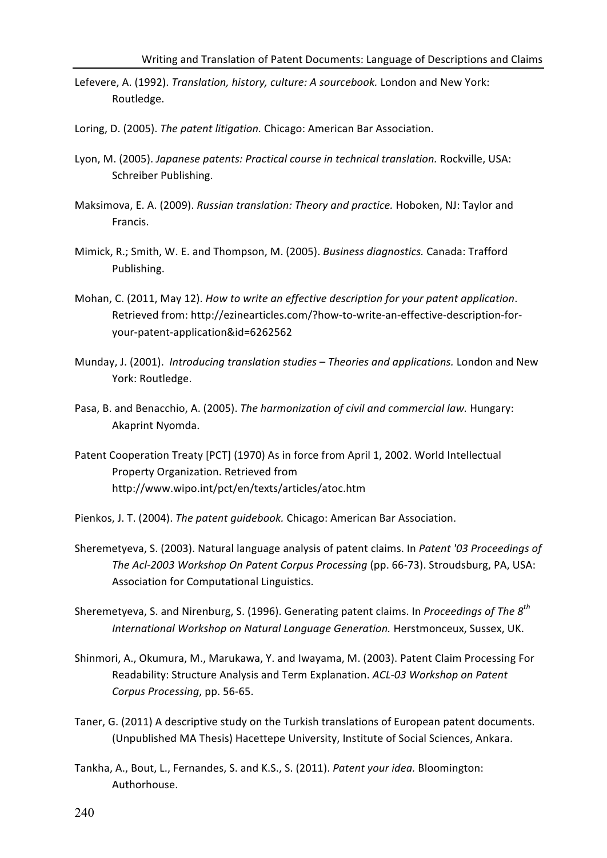- Lefevere, A. (1992). *Translation, history, culture: A sourcebook*. London and New York: Routledge.
- Loring, D. (2005). The patent litigation. Chicago: American Bar Association.
- Lyon, M. (2005). Japanese patents: Practical course in technical translation. Rockville, USA: Schreiber Publishing.
- Maksimova, E. A. (2009). *Russian translation: Theory and practice.* Hoboken, NJ: Taylor and Francis.
- Mimick, R.; Smith, W. E. and Thompson, M. (2005). *Business diagnostics.* Canada: Trafford Publishing.
- Mohan, C. (2011, May 12). *How to write an effective description for your patent application*. Retrieved from: http://ezinearticles.com/?how-to-write-an-effective-description-foryour-patent-application&id=6262562
- Munday, J. (2001). *Introducing translation studies Theories and applications.* London and New York: Routledge.
- Pasa, B. and Benacchio, A. (2005). *The harmonization of civil and commercial law*. Hungary: Akaprint Nyomda.
- Patent Cooperation Treaty [PCT] (1970) As in force from April 1, 2002. World Intellectual Property Organization. Retrieved from http://www.wipo.int/pct/en/texts/articles/atoc.htm
- Pienkos, J. T. (2004). *The patent quidebook.* Chicago: American Bar Association.
- Sheremetyeva, S. (2003). Natural language analysis of patent claims. In *Patent '03 Proceedings of* The Acl-2003 Workshop On Patent Corpus Processing (pp. 66-73). Stroudsburg, PA, USA: Association for Computational Linguistics.
- Sheremetyeva, S. and Nirenburg, S. (1996). Generating patent claims. In *Proceedings of The* 8<sup>th</sup> *International Workshop on Natural Language Generation.* Herstmonceux, Sussex, UK.
- Shinmori, A., Okumura, M., Marukawa, Y. and Iwayama, M. (2003). Patent Claim Processing For Readability: Structure Analysis and Term Explanation. *ACL-03 Workshop on Patent Corpus Processing*, pp. 56-65.
- Taner, G. (2011) A descriptive study on the Turkish translations of European patent documents. (Unpublished MA Thesis) Hacettepe University, Institute of Social Sciences, Ankara.
- Tankha, A., Bout, L., Fernandes, S. and K.S., S. (2011). *Patent your idea.* Bloomington: Authorhouse.